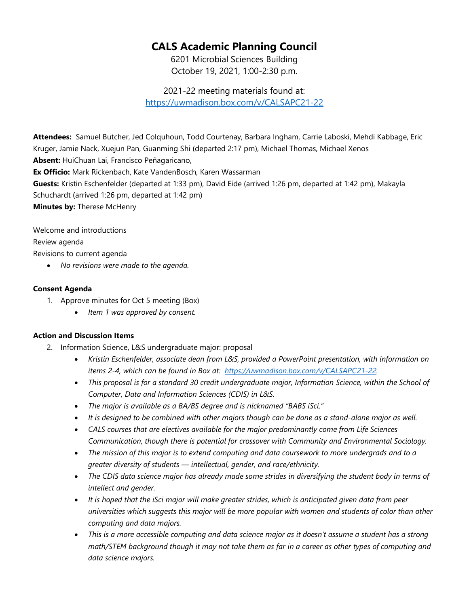## **CALS Academic Planning Council**

6201 Microbial Sciences Building October 19, 2021, 1:00-2:30 p.m.

2021-22 meeting materials found at: <https://uwmadison.box.com/v/CALSAPC21-22>

**Attendees:** Samuel Butcher, Jed Colquhoun, Todd Courtenay, Barbara Ingham, Carrie Laboski, Mehdi Kabbage, Eric Kruger, Jamie Nack, Xuejun Pan, Guanming Shi (departed 2:17 pm), Michael Thomas, Michael Xenos

**Absent:** HuiChuan Lai, Francisco Peñagaricano,

**Ex Officio:** Mark Rickenbach, Kate VandenBosch, Karen Wassarman

**Guests:** Kristin Eschenfelder (departed at 1:33 pm), David Eide (arrived 1:26 pm, departed at 1:42 pm), Makayla Schuchardt (arrived 1:26 pm, departed at 1:42 pm)

**Minutes by:** Therese McHenry

Welcome and introductions

Review agenda

Revisions to current agenda

• *No revisions were made to the agenda.*

## **Consent Agenda**

- 1. Approve minutes for Oct 5 meeting (Box)
	- *Item 1 was approved by consent.*

## **Action and Discussion Items**

- 2. Information Science, L&S undergraduate major: proposal
	- *Kristin Eschenfelder, associate dean from L&S, provided a PowerPoint presentation, with information on items 2-4, which can be found in Box at: [https://uwmadison.box.com/v/CALSAPC21-22.](https://uwmadison.box.com/v/CALSAPC21-22)*
	- *This proposal is for a standard 30 credit undergraduate major, Information Science, within the School of Computer, Data and Information Sciences (CDIS) in L&S.*
	- *The major is available as a BA/BS degree and is nicknamed "BABS iSci."*
	- *It is designed to be combined with other majors though can be done as a stand-alone major as well.*
	- *CALS courses that are electives available for the major predominantly come from Life Sciences Communication, though there is potential for crossover with Community and Environmental Sociology.*
	- *The mission of this major is to extend computing and data coursework to more undergrads and to a greater diversity of students — intellectual, gender, and race/ethnicity.*
	- *The CDIS data science major has already made some strides in diversifying the student body in terms of intellect and gender.*
	- *It is hoped that the iSci major will make greater strides, which is anticipated given data from peer universities which suggests this major will be more popular with women and students of color than other computing and data majors.*
	- *This is a more accessible computing and data science major as it doesn't assume a student has a strong math/STEM background though it may not take them as far in a career as other types of computing and data science majors.*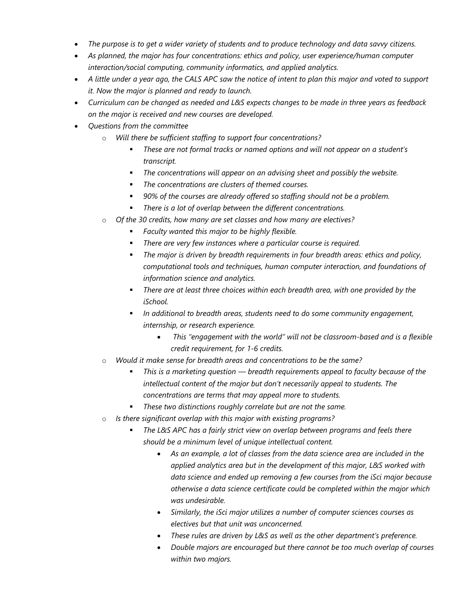- *The purpose is to get a wider variety of students and to produce technology and data savvy citizens.*
- *As planned, the major has four concentrations: ethics and policy, user experience/human computer interaction/social computing, community informatics, and applied analytics.*
- *A little under a year ago, the CALS APC saw the notice of intent to plan this major and voted to support it. Now the major is planned and ready to launch.*
- *Curriculum can be changed as needed and L&S expects changes to be made in three years as feedback on the major is received and new courses are developed.*
- *Questions from the committee*
	- o *Will there be sufficient staffing to support four concentrations?*
		- *These are not formal tracks or named options and will not appear on a student's transcript.*
		- *The concentrations will appear on an advising sheet and possibly the website.*
		- *The concentrations are clusters of themed courses.*
		- *90% of the courses are already offered so staffing should not be a problem.*
		- *There is a lot of overlap between the different concentrations.*
	- o *Of the 30 credits, how many are set classes and how many are electives?*
		- *Faculty wanted this major to be highly flexible.*
		- *There are very few instances where a particular course is required.*
		- *The major is driven by breadth requirements in four breadth areas: ethics and policy, computational tools and techniques, human computer interaction, and foundations of information science and analytics.*
		- *There are at least three choices within each breadth area, with one provided by the iSchool.*
		- *In additional to breadth areas, students need to do some community engagement, internship, or research experience.*
			- *This "engagement with the world" will not be classroom-based and is a flexible credit requirement, for 1-6 credits.*
	- o *Would it make sense for breadth areas and concentrations to be the same?*
		- *This is a marketing question — breadth requirements appeal to faculty because of the intellectual content of the major but don't necessarily appeal to students. The concentrations are terms that may appeal more to students.*
		- *These two distinctions roughly correlate but are not the same.*
	- o *Is there significant overlap with this major with existing programs?*
		- *The L&S APC has a fairly strict view on overlap between programs and feels there should be a minimum level of unique intellectual content.*
			- *As an example, a lot of classes from the data science area are included in the applied analytics area but in the development of this major, L&S worked with data science and ended up removing a few courses from the iSci major because otherwise a data science certificate could be completed within the major which was undesirable.*
			- *Similarly, the iSci major utilizes a number of computer sciences courses as electives but that unit was unconcerned.*
			- *These rules are driven by L&S as well as the other department's preference.*
			- *Double majors are encouraged but there cannot be too much overlap of courses within two majors.*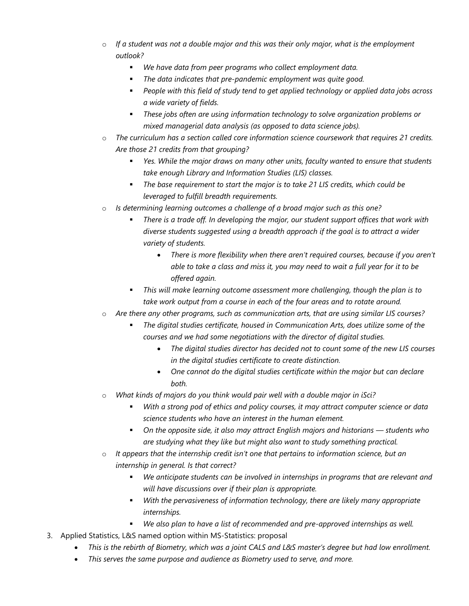- o *If a student was not a double major and this was their only major, what is the employment outlook?*
	- *We have data from peer programs who collect employment data.*
	- *The data indicates that pre-pandemic employment was quite good.*
	- *People with this field of study tend to get applied technology or applied data jobs across a wide variety of fields.*
	- *These jobs often are using information technology to solve organization problems or mixed managerial data analysis (as opposed to data science jobs).*
- o *The curriculum has a section called core information science coursework that requires 21 credits. Are those 21 credits from that grouping?*
	- *Yes. While the major draws on many other units, faculty wanted to ensure that students take enough Library and Information Studies (LIS) classes.*
	- *The base requirement to start the major is to take 21 LIS credits, which could be leveraged to fulfill breadth requirements.*
- o *Is determining learning outcomes a challenge of a broad major such as this one?*
	- *There is a trade off. In developing the major, our student support offices that work with diverse students suggested using a breadth approach if the goal is to attract a wider variety of students.*
		- *There is more flexibility when there aren't required courses, because if you aren't able to take a class and miss it, you may need to wait a full year for it to be offered again.*
	- *This will make learning outcome assessment more challenging, though the plan is to take work output from a course in each of the four areas and to rotate around.*
- o *Are there any other programs, such as communication arts, that are using similar LIS courses?*
	- *The digital studies certificate, housed in Communication Arts, does utilize some of the courses and we had some negotiations with the director of digital studies.*
		- *The digital studies director has decided not to count some of the new LIS courses in the digital studies certificate to create distinction.*
		- *One cannot do the digital studies certificate within the major but can declare both.*
- o *What kinds of majors do you think would pair well with a double major in iSci?*
	- *With a strong pod of ethics and policy courses, it may attract computer science or data science students who have an interest in the human element.*
	- *On the opposite side, it also may attract English majors and historians — students who are studying what they like but might also want to study something practical.*
- o *It appears that the internship credit isn't one that pertains to information science, but an internship in general. Is that correct?*
	- *We anticipate students can be involved in internships in programs that are relevant and will have discussions over if their plan is appropriate.*
	- *With the pervasiveness of information technology, there are likely many appropriate internships.*
	- *We also plan to have a list of recommended and pre-approved internships as well.*
- 3. Applied Statistics, L&S named option within MS-Statistics: proposal
	- *This is the rebirth of Biometry, which was a joint CALS and L&S master's degree but had low enrollment.*
	- *This serves the same purpose and audience as Biometry used to serve, and more.*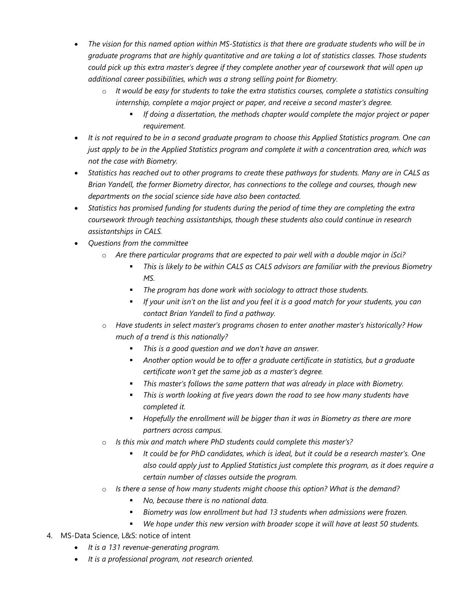- *The vision for this named option within MS-Statistics is that there are graduate students who will be in graduate programs that are highly quantitative and are taking a lot of statistics classes. Those students could pick up this extra master's degree if they complete another year of coursework that will open up additional career possibilities, which was a strong selling point for Biometry.*
	- o *It would be easy for students to take the extra statistics courses, complete a statistics consulting internship, complete a major project or paper, and receive a second master's degree.*
		- *If doing a dissertation, the methods chapter would complete the major project or paper requirement.*
- *It is not required to be in a second graduate program to choose this Applied Statistics program. One can just apply to be in the Applied Statistics program and complete it with a concentration area, which was not the case with Biometry.*
- *Statistics has reached out to other programs to create these pathways for students. Many are in CALS as Brian Yandell, the former Biometry director, has connections to the college and courses, though new departments on the social science side have also been contacted.*
- *Statistics has promised funding for students during the period of time they are completing the extra coursework through teaching assistantships, though these students also could continue in research assistantships in CALS.*
- *Questions from the committee*
	- o *Are there particular programs that are expected to pair well with a double major in iSci?*
		- *This is likely to be within CALS as CALS advisors are familiar with the previous Biometry MS.*
		- *The program has done work with sociology to attract those students.*
		- *If your unit isn't on the list and you feel it is a good match for your students, you can contact Brian Yandell to find a pathway.*
	- o *Have students in select master's programs chosen to enter another master's historically? How much of a trend is this nationally?*
		- *This is a good question and we don't have an answer.*
		- *Another option would be to offer a graduate certificate in statistics, but a graduate certificate won't get the same job as a master's degree.*
		- *This master's follows the same pattern that was already in place with Biometry.*
		- *This is worth looking at five years down the road to see how many students have completed it.*
		- *Hopefully the enrollment will be bigger than it was in Biometry as there are more partners across campus.*
	- Is this mix and match where PhD students could complete this master's?
		- *It could be for PhD candidates, which is ideal, but it could be a research master's. One also could apply just to Applied Statistics just complete this program, as it does require a certain number of classes outside the program.*
	- o *Is there a sense of how many students might choose this option? What is the demand?*
		- *No, because there is no national data.*
		- *Biometry was low enrollment but had 13 students when admissions were frozen.*
		- *We hope under this new version with broader scope it will have at least 50 students.*
- 4. MS-Data Science, L&S: notice of intent
	- *It is a 131 revenue-generating program.*
	- *It is a professional program, not research oriented.*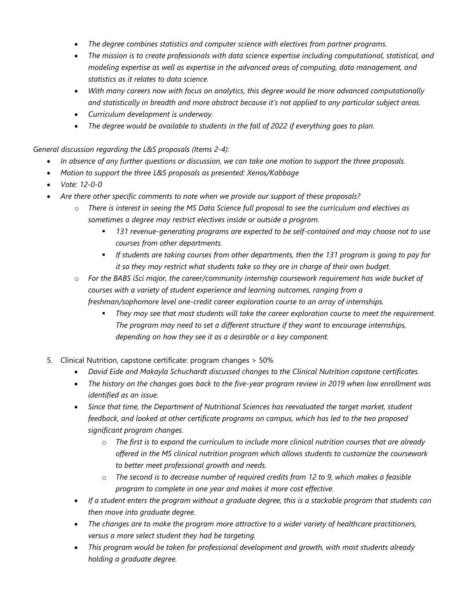- *The degree combines statistics and computer science with electives from partner programs.*
- *The mission is to create professionals with data science expertise including computational, statistical, and modeling expertise as well as expertise in the advanced areas of computing, data management, and statistics as it relates to data science.*
- *With many careers now with focus on analytics, this degree would be more advanced computationally and statistically in breadth and more abstract because it's not applied to any particular subject areas.*
- *Curriculum development is underway.*
- *The degree would be available to students in the fall of 2022 if everything goes to plan.*

*General discussion regarding the L&S proposals (Items 2-4):*

- *In absence of any further questions or discussion, we can take one motion to support the three proposals.*
- *Motion to support the three L&S proposals as presented: Xenos/Kabbage*
- *Vote: 12-0-0*
- *Are there other specific comments to note when we provide our support of these proposals?*
	- o *There is interest in seeing the MS Data Science full proposal to see the curriculum and electives as sometimes a degree may restrict electives inside or outside a program.*
		- *131 revenue-generating programs are expected to be self-contained and may choose not to use courses from other departments.*
		- *If students are taking courses from other departments, then the 131 program is going to pay for it so they may restrict what students take so they are in charge of their own budget.*
	- o *For the BABS iSci major, the career/community internship coursework requirement has wide bucket of courses with a variety of student experience and learning outcomes, ranging from a freshman/sophomore level one-credit career exploration course to an array of internships.*
		- *They may see that most students will take the career exploration course to meet the requirement. The program may need to set a different structure if they want to encourage internships, depending on how they see it as a desirable or a key component.*
- 5. Clinical Nutrition, capstone certificate: program changes > 50%
	- *David Eide and Makayla Schuchardt discussed changes to the Clinical Nutrition capstone certificates.*
	- The history on the changes goes back to the five-year program review in 2019 when low enrollment was *identified as an issue.*
	- *Since that time, the Department of Nutritional Sciences has reevaluated the target market, student feedback, and looked at other certificate programs on campus, which has led to the two proposed significant program changes.*
		- o *The first is to expand the curriculum to include more clinical nutrition courses that are already offered in the MS clinical nutrition program which allows students to customize the coursework to better meet professional growth and needs.*
		- o *The second is to decrease number of required credits from 12 to 9, which makes a feasible program to complete in one year and makes it more cost effective.*
	- *If a student enters the program without a graduate degree, this is a stackable program that students can then move into graduate degree.*
	- *The changes are to make the program more attractive to a wider variety of healthcare practitioners, versus a more select student they had be targeting.*
	- *This program would be taken for professional development and growth, with most students already holding a graduate degree.*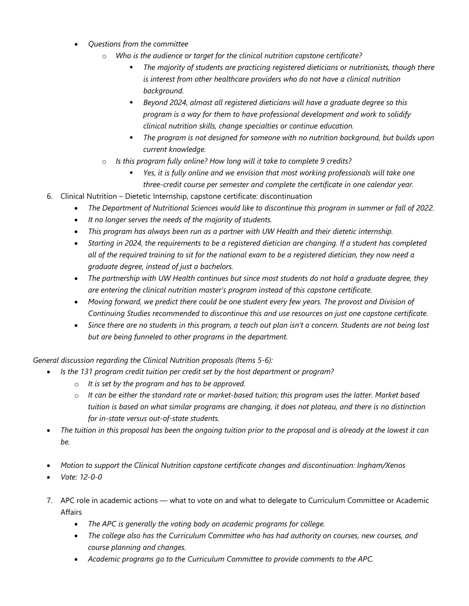- *Questions from the committee*
	- o *Who is the audience or target for the clinical nutrition capstone certificate?*
		- *The majority of students are practicing registered dieticians or nutritionists, though there is interest from other healthcare providers who do not have a clinical nutrition background.*
		- *Beyond 2024, almost all registered dieticians will have a graduate degree so this program is a way for them to have professional development and work to solidify clinical nutrition skills, change specialties or continue education.*
		- *The program is not designed for someone with no nutrition background, but builds upon current knowledge.*
	- o *Is this program fully online? How long will it take to complete 9 credits?*
		- *Yes, it is fully online and we envision that most working professionals will take one three-credit course per semester and complete the certificate in one calendar year.*
- 6. Clinical Nutrition Dietetic Internship, capstone certificate: discontinuation
	- *The Department of Nutritional Sciences would like to discontinue this program in summer or fall of 2022.*
	- *It no longer serves the needs of the majority of students.*
	- *This program has always been run as a partner with UW Health and their dietetic internship.*
	- *Starting in 2024, the requirements to be a registered dietician are changing. If a student has completed all of the required training to sit for the national exam to be a registered dietician, they now need a graduate degree, instead of just a bachelors.*
	- *The partnership with UW Health continues but since most students do not hold a graduate degree, they are entering the clinical nutrition master's program instead of this capstone certificate.*
	- *Moving forward, we predict there could be one student every few years. The provost and Division of Continuing Studies recommended to discontinue this and use resources on just one capstone certificate.*
	- *Since there are no students in this program, a teach out plan isn't a concern. Students are not being lost but are being funneled to other programs in the department.*

*General discussion regarding the Clinical Nutrition proposals (Items 5-6):*

- *Is the 131 program credit tuition per credit set by the host department or program?* 
	- o *It is set by the program and has to be approved.*
	- o *It can be either the standard rate or market-based tuition; this program uses the latter. Market based tuition is based on what similar programs are changing, it does not plateau, and there is no distinction for in-state versus out-of-state students.*
- *The tuition in this proposal has been the ongoing tuition prior to the proposal and is already at the lowest it can be.*
- *Motion to support the Clinical Nutrition capstone certificate changes and discontinuation: Ingham/Xenos*
- *Vote: 12-0-0*
- 7. APC role in academic actions what to vote on and what to delegate to Curriculum Committee or Academic Affairs
	- *The APC is generally the voting body on academic programs for college.*
	- *The college also has the Curriculum Committee who has had authority on courses, new courses, and course planning and changes.*
	- *Academic programs go to the Curriculum Committee to provide comments to the APC.*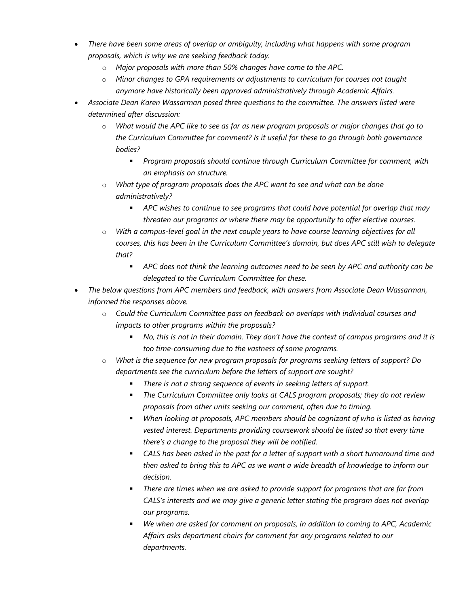- *There have been some areas of overlap or ambiguity, including what happens with some program proposals, which is why we are seeking feedback today.*
	- o *Major proposals with more than 50% changes have come to the APC.*
	- o *Minor changes to GPA requirements or adjustments to curriculum for courses not taught anymore have historically been approved administratively through Academic Affairs.*
- *Associate Dean Karen Wassarman posed three questions to the committee. The answers listed were determined after discussion:* 
	- o *What would the APC like to see as far as new program proposals or major changes that go to the Curriculum Committee for comment? Is it useful for these to go through both governance bodies?*
		- *Program proposals should continue through Curriculum Committee for comment, with an emphasis on structure.*
	- o *What type of program proposals does the APC want to see and what can be done administratively?*
		- *APC wishes to continue to see programs that could have potential for overlap that may threaten our programs or where there may be opportunity to offer elective courses.*
	- With a campus-level goal in the next couple years to have course learning objectives for all *courses, this has been in the Curriculum Committee's domain, but does APC still wish to delegate that?*
		- *APC does not think the learning outcomes need to be seen by APC and authority can be delegated to the Curriculum Committee for these.*
- *The below questions from APC members and feedback, with answers from Associate Dean Wassarman, informed the responses above.*
	- o *Could the Curriculum Committee pass on feedback on overlaps with individual courses and impacts to other programs within the proposals?*
		- *No, this is not in their domain. They don't have the context of campus programs and it is too time-consuming due to the vastness of some programs.*
	- o *What is the sequence for new program proposals for programs seeking letters of support? Do departments see the curriculum before the letters of support are sought?*
		- *There is not a strong sequence of events in seeking letters of support.*
		- *The Curriculum Committee only looks at CALS program proposals; they do not review proposals from other units seeking our comment, often due to timing.*
		- *When looking at proposals, APC members should be cognizant of who is listed as having vested interest. Departments providing coursework should be listed so that every time there's a change to the proposal they will be notified.*
		- *CALS has been asked in the past for a letter of support with a short turnaround time and then asked to bring this to APC as we want a wide breadth of knowledge to inform our decision.*
		- *There are times when we are asked to provide support for programs that are far from CALS's interests and we may give a generic letter stating the program does not overlap our programs.*
		- *We when are asked for comment on proposals, in addition to coming to APC, Academic Affairs asks department chairs for comment for any programs related to our departments.*